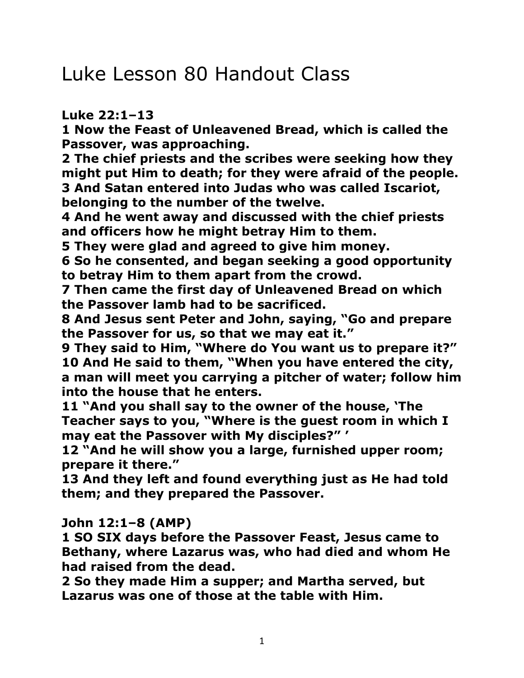## Luke Lesson 80 Handout Class

## **Luke 22:1–13**

**1 Now the Feast of Unleavened Bread, which is called the Passover, was approaching.** 

**2 The chief priests and the scribes were seeking how they might put Him to death; for they were afraid of the people. 3 And Satan entered into Judas who was called Iscariot, belonging to the number of the twelve.** 

**4 And he went away and discussed with the chief priests and officers how he might betray Him to them.** 

**5 They were glad and agreed to give him money.** 

**6 So he consented, and began seeking a good opportunity to betray Him to them apart from the crowd.** 

**7 Then came the first day of Unleavened Bread on which the Passover lamb had to be sacrificed.** 

**8 And Jesus sent Peter and John, saying, "Go and prepare the Passover for us, so that we may eat it."** 

**9 They said to Him, "Where do You want us to prepare it?" 10 And He said to them, "When you have entered the city, a man will meet you carrying a pitcher of water; follow him into the house that he enters.** 

**11 "And you shall say to the owner of the house, 'The Teacher says to you, "Where is the guest room in which I may eat the Passover with My disciples?" '** 

**12 "And he will show you a large, furnished upper room; prepare it there."** 

**13 And they left and found everything just as He had told them; and they prepared the Passover.** 

**John 12:1–8 (AMP)**

**1 SO SIX days before the Passover Feast, Jesus came to Bethany, where Lazarus was, who had died and whom He had raised from the dead.** 

**2 So they made Him a supper; and Martha served, but Lazarus was one of those at the table with Him.**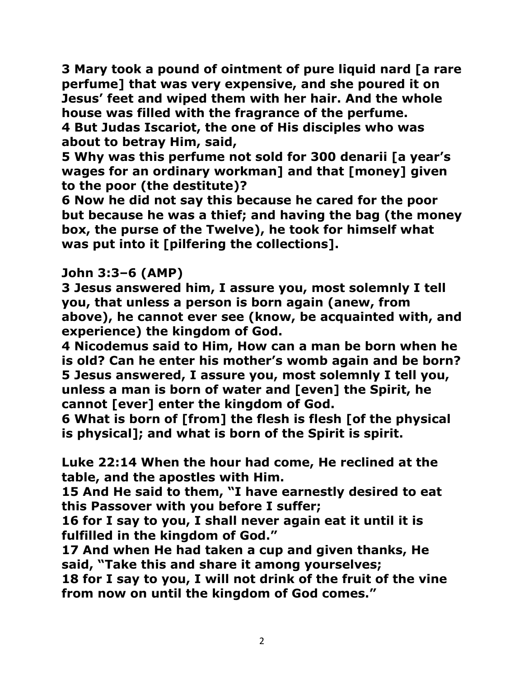**3 Mary took a pound of ointment of pure liquid nard [a rare perfume] that was very expensive, and she poured it on Jesus' feet and wiped them with her hair. And the whole house was filled with the fragrance of the perfume. 4 But Judas Iscariot, the one of His disciples who was about to betray Him, said,** 

**5 Why was this perfume not sold for 300 denarii [a year's wages for an ordinary workman] and that [money] given to the poor (the destitute)?** 

**6 Now he did not say this because he cared for the poor but because he was a thief; and having the bag (the money box, the purse of the Twelve), he took for himself what was put into it [pilfering the collections].** 

## **John 3:3–6 (AMP)**

**3 Jesus answered him, I assure you, most solemnly I tell you, that unless a person is born again (anew, from above), he cannot ever see (know, be acquainted with, and experience) the kingdom of God.** 

**4 Nicodemus said to Him, How can a man be born when he is old? Can he enter his mother's womb again and be born? 5 Jesus answered, I assure you, most solemnly I tell you, unless a man is born of water and [even] the Spirit, he cannot [ever] enter the kingdom of God.** 

**6 What is born of [from] the flesh is flesh [of the physical is physical]; and what is born of the Spirit is spirit.** 

**Luke 22:14 When the hour had come, He reclined at the table, and the apostles with Him.** 

**15 And He said to them, "I have earnestly desired to eat this Passover with you before I suffer;** 

**16 for I say to you, I shall never again eat it until it is fulfilled in the kingdom of God."** 

**17 And when He had taken a cup and given thanks, He said, "Take this and share it among yourselves;** 

**18 for I say to you, I will not drink of the fruit of the vine from now on until the kingdom of God comes."**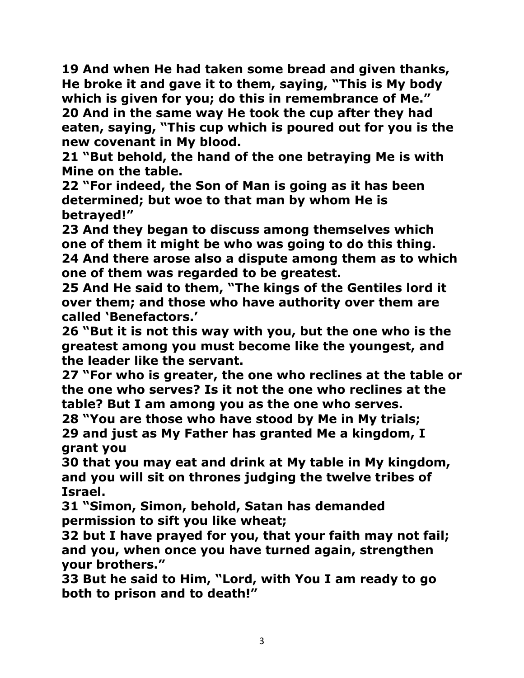**19 And when He had taken some bread and given thanks, He broke it and gave it to them, saying, "This is My body which is given for you; do this in remembrance of Me." 20 And in the same way He took the cup after they had eaten, saying, "This cup which is poured out for you is the new covenant in My blood.** 

**21 "But behold, the hand of the one betraying Me is with Mine on the table.** 

**22 "For indeed, the Son of Man is going as it has been determined; but woe to that man by whom He is betrayed!"** 

**23 And they began to discuss among themselves which one of them it might be who was going to do this thing. 24 And there arose also a dispute among them as to which one of them was regarded to be greatest.** 

**25 And He said to them, "The kings of the Gentiles lord it over them; and those who have authority over them are called 'Benefactors.'** 

**26 "But it is not this way with you, but the one who is the greatest among you must become like the youngest, and the leader like the servant.** 

**27 "For who is greater, the one who reclines at the table or the one who serves? Is it not the one who reclines at the table? But I am among you as the one who serves.** 

**28 "You are those who have stood by Me in My trials; 29 and just as My Father has granted Me a kingdom, I grant you** 

**30 that you may eat and drink at My table in My kingdom, and you will sit on thrones judging the twelve tribes of Israel.** 

**31 "Simon, Simon, behold, Satan has demanded permission to sift you like wheat;** 

**32 but I have prayed for you, that your faith may not fail; and you, when once you have turned again, strengthen your brothers."** 

**33 But he said to Him, "Lord, with You I am ready to go both to prison and to death!"**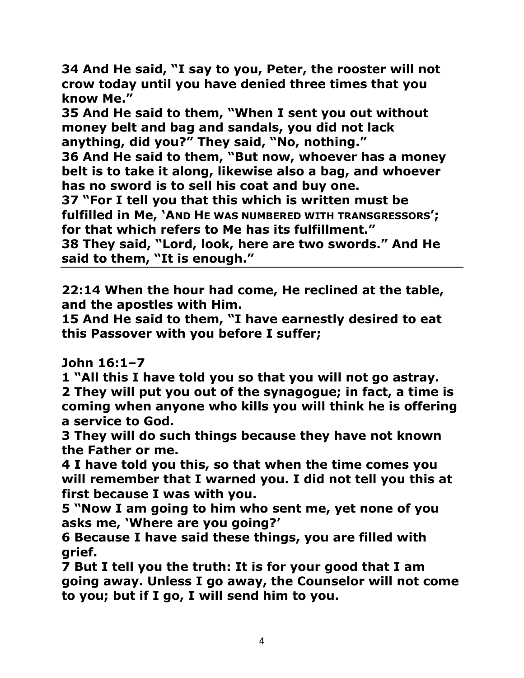**34 And He said, "I say to you, Peter, the rooster will not crow today until you have denied three times that you know Me."** 

**35 And He said to them, "When I sent you out without money belt and bag and sandals, you did not lack anything, did you?" They said, "No, nothing."** 

**36 And He said to them, "But now, whoever has a money belt is to take it along, likewise also a bag, and whoever has no sword is to sell his coat and buy one.** 

**37 "For I tell you that this which is written must be fulfilled in Me, 'AND HE WAS NUMBERED WITH TRANSGRESSORS'; for that which refers to Me has its fulfillment."** 

**38 They said, "Lord, look, here are two swords." And He said to them, "It is enough."** 

**22:14 When the hour had come, He reclined at the table, and the apostles with Him.** 

**15 And He said to them, "I have earnestly desired to eat this Passover with you before I suffer;** 

**John 16:1–7** 

**1 "All this I have told you so that you will not go astray. 2 They will put you out of the synagogue; in fact, a time is coming when anyone who kills you will think he is offering a service to God.** 

**3 They will do such things because they have not known the Father or me.** 

**4 I have told you this, so that when the time comes you will remember that I warned you. I did not tell you this at first because I was with you.** 

**5 "Now I am going to him who sent me, yet none of you asks me, 'Where are you going?'** 

**6 Because I have said these things, you are filled with grief.** 

**7 But I tell you the truth: It is for your good that I am going away. Unless I go away, the Counselor will not come to you; but if I go, I will send him to you.**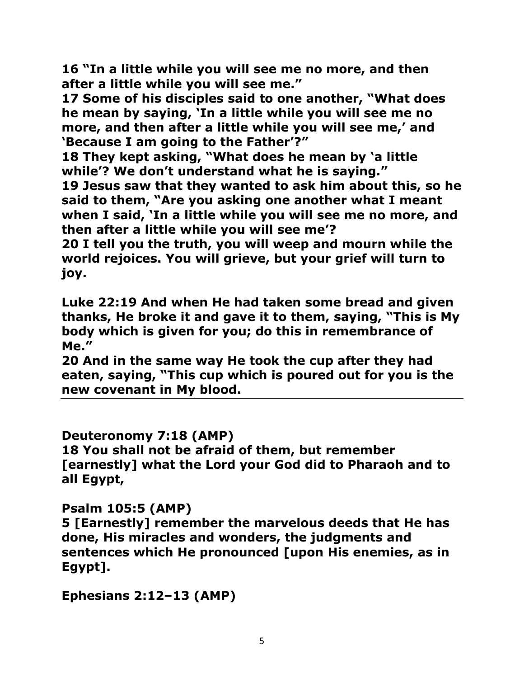**16 "In a little while you will see me no more, and then after a little while you will see me."**

**17 Some of his disciples said to one another, "What does he mean by saying, 'In a little while you will see me no more, and then after a little while you will see me,' and 'Because I am going to the Father'?"** 

**18 They kept asking, "What does he mean by 'a little while'? We don't understand what he is saying."** 

**19 Jesus saw that they wanted to ask him about this, so he said to them, "Are you asking one another what I meant when I said, 'In a little while you will see me no more, and then after a little while you will see me'?** 

**20 I tell you the truth, you will weep and mourn while the world rejoices. You will grieve, but your grief will turn to joy.** 

**Luke 22:19 And when He had taken some bread and given thanks, He broke it and gave it to them, saying, "This is My body which is given for you; do this in remembrance of Me."** 

**20 And in the same way He took the cup after they had eaten, saying, "This cup which is poured out for you is the new covenant in My blood.** 

**Deuteronomy 7:18 (AMP) 18 You shall not be afraid of them, but remember [earnestly] what the Lord your God did to Pharaoh and to all Egypt,** 

**Psalm 105:5 (AMP)**

**5 [Earnestly] remember the marvelous deeds that He has done, His miracles and wonders, the judgments and sentences which He pronounced [upon His enemies, as in Egypt].** 

**Ephesians 2:12–13 (AMP)**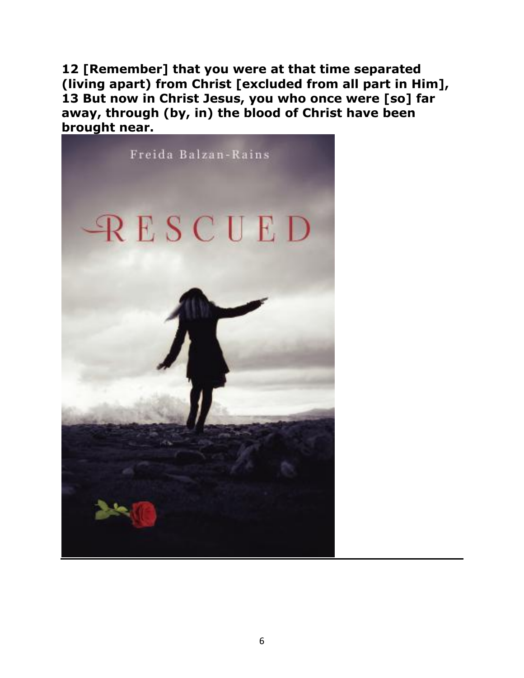**12 [Remember] that you were at that time separated (living apart) from Christ [excluded from all part in Him], 13 But now in Christ Jesus, you who once were [so] far away, through (by, in) the blood of Christ have been brought near.**